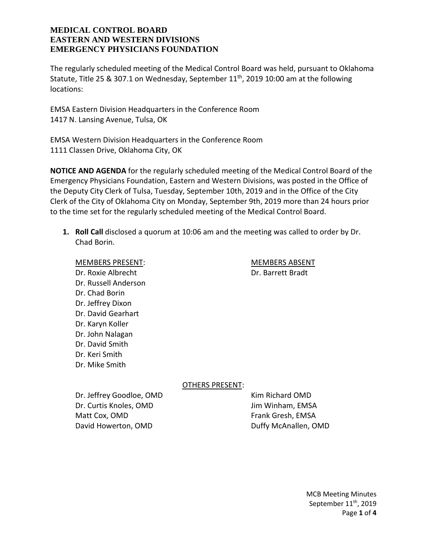The regularly scheduled meeting of the Medical Control Board was held, pursuant to Oklahoma Statute, Title 25 & 307.1 on Wednesday, September  $11<sup>th</sup>$ , 2019 10:00 am at the following locations:

EMSA Eastern Division Headquarters in the Conference Room 1417 N. Lansing Avenue, Tulsa, OK

EMSA Western Division Headquarters in the Conference Room 1111 Classen Drive, Oklahoma City, OK

**NOTICE AND AGENDA** for the regularly scheduled meeting of the Medical Control Board of the Emergency Physicians Foundation, Eastern and Western Divisions, was posted in the Office of the Deputy City Clerk of Tulsa, Tuesday, September 10th, 2019 and in the Office of the City Clerk of the City of Oklahoma City on Monday, September 9th, 2019 more than 24 hours prior to the time set for the regularly scheduled meeting of the Medical Control Board.

**1. Roll Call** disclosed a quorum at 10:06 am and the meeting was called to order by Dr. Chad Borin.

MEMBERS PRESENT: MEMBERS ABSENT Dr. Roxie Albrecht Dr. Barrett Bradt Dr. Russell Anderson Dr. Chad Borin Dr. Jeffrey Dixon Dr. David Gearhart Dr. Karyn Koller Dr. John Nalagan Dr. David Smith Dr. Keri Smith Dr. Mike Smith

OTHERS PRESENT:

Dr. Jeffrey Goodloe, OMD Kim Richard OMD Dr. Curtis Knoles, OMD Jim Winham, EMSA Matt Cox, OMD Frank Gresh, EMSA David Howerton, OMD David Howerton, OMD

MCB Meeting Minutes September 11<sup>th</sup>, 2019 Page **1** of **4**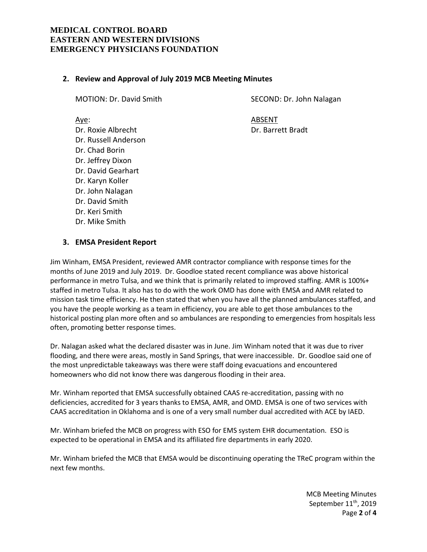#### **2. Review and Approval of July 2019 MCB Meeting Minutes**

Dr. Russell Anderson Dr. Chad Borin Dr. Jeffrey Dixon Dr. David Gearhart Dr. Karyn Koller Dr. John Nalagan Dr. David Smith Dr. Keri Smith Dr. Mike Smith

MOTION: Dr. David Smith SECOND: Dr. John Nalagan

Aye: ABSENT Dr. Roxie Albrecht Dr. Barrett Bradt

#### **3. EMSA President Report**

Jim Winham, EMSA President, reviewed AMR contractor compliance with response times for the months of June 2019 and July 2019. Dr. Goodloe stated recent compliance was above historical performance in metro Tulsa, and we think that is primarily related to improved staffing. AMR is 100%+ staffed in metro Tulsa. It also has to do with the work OMD has done with EMSA and AMR related to mission task time efficiency. He then stated that when you have all the planned ambulances staffed, and you have the people working as a team in efficiency, you are able to get those ambulances to the historical posting plan more often and so ambulances are responding to emergencies from hospitals less often, promoting better response times.

Dr. Nalagan asked what the declared disaster was in June. Jim Winham noted that it was due to river flooding, and there were areas, mostly in Sand Springs, that were inaccessible. Dr. Goodloe said one of the most unpredictable takeaways was there were staff doing evacuations and encountered homeowners who did not know there was dangerous flooding in their area.

Mr. Winham reported that EMSA successfully obtained CAAS re-accreditation, passing with no deficiencies, accredited for 3 years thanks to EMSA, AMR, and OMD. EMSA is one of two services with CAAS accreditation in Oklahoma and is one of a very small number dual accredited with ACE by IAED.

Mr. Winham briefed the MCB on progress with ESO for EMS system EHR documentation. ESO is expected to be operational in EMSA and its affiliated fire departments in early 2020.

Mr. Winham briefed the MCB that EMSA would be discontinuing operating the TReC program within the next few months.

> MCB Meeting Minutes September 11<sup>th</sup>, 2019 Page **2** of **4**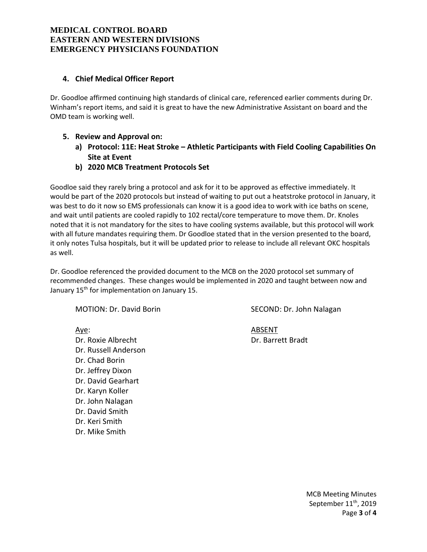# **4. Chief Medical Officer Report**

Dr. Goodloe affirmed continuing high standards of clinical care, referenced earlier comments during Dr. Winham's report items, and said it is great to have the new Administrative Assistant on board and the OMD team is working well.

- **5. Review and Approval on:**
	- **a) Protocol: 11E: Heat Stroke – Athletic Participants with Field Cooling Capabilities On Site at Event**
	- **b) 2020 MCB Treatment Protocols Set**

Goodloe said they rarely bring a protocol and ask for it to be approved as effective immediately. It would be part of the 2020 protocols but instead of waiting to put out a heatstroke protocol in January, it was best to do it now so EMS professionals can know it is a good idea to work with ice baths on scene, and wait until patients are cooled rapidly to 102 rectal/core temperature to move them. Dr. Knoles noted that it is not mandatory for the sites to have cooling systems available, but this protocol will work with all future mandates requiring them. Dr Goodloe stated that in the version presented to the board, it only notes Tulsa hospitals, but it will be updated prior to release to include all relevant OKC hospitals as well.

Dr. Goodloe referenced the provided document to the MCB on the 2020 protocol set summary of recommended changes. These changes would be implemented in 2020 and taught between now and January  $15<sup>th</sup>$  for implementation on January 15.

Dr. Roxie Albrecht Dr. Barrett Bradt Dr. Russell Anderson Dr. Chad Borin Dr. Jeffrey Dixon Dr. David Gearhart Dr. Karyn Koller Dr. John Nalagan Dr. David Smith Dr. Keri Smith Dr. Mike Smith

MOTION: Dr. David Borin Second: SECOND: Dr. John Nalagan

Aye: And ABSENT

MCB Meeting Minutes September 11<sup>th</sup>, 2019 Page **3** of **4**